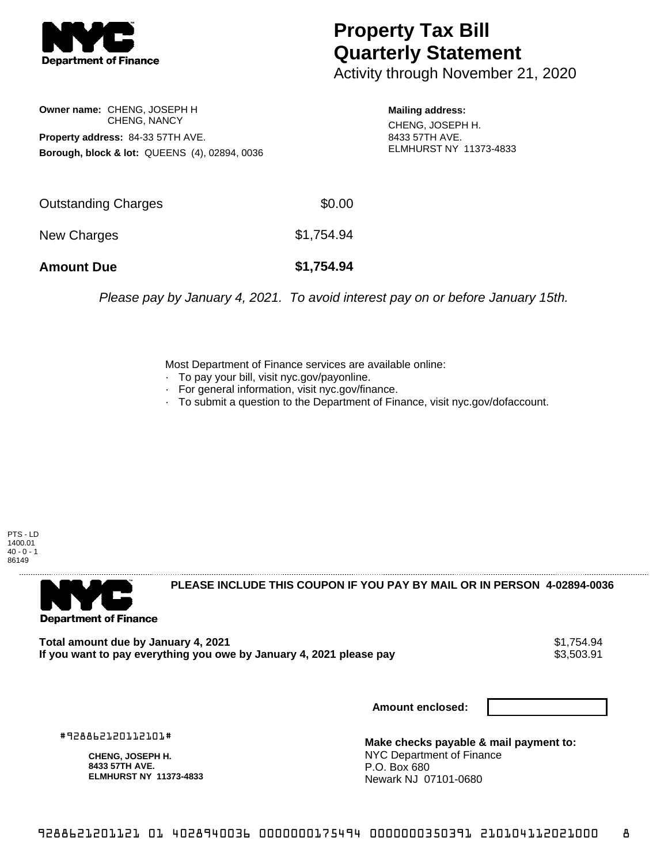

## **Property Tax Bill Quarterly Statement**

Activity through November 21, 2020

**Owner name:** CHENG, JOSEPH H CHENG, NANCY **Property address:** 84-33 57TH AVE. **Borough, block & lot:** QUEENS (4), 02894, 0036

**Mailing address:** CHENG, JOSEPH H. 8433 57TH AVE. ELMHURST NY 11373-4833

| <b>Amount Due</b>   | \$1,754.94 |
|---------------------|------------|
| New Charges         | \$1,754.94 |
| Outstanding Charges | \$0.00     |

Please pay by January 4, 2021. To avoid interest pay on or before January 15th.

Most Department of Finance services are available online:

- · To pay your bill, visit nyc.gov/payonline.
- For general information, visit nyc.gov/finance.
- · To submit a question to the Department of Finance, visit nyc.gov/dofaccount.

PTS - LD 1400.01  $40 - 0 - 1$ 86149



**PLEASE INCLUDE THIS COUPON IF YOU PAY BY MAIL OR IN PERSON 4-02894-0036** 

**Total amount due by January 4, 2021**<br>If you want to pay everything you owe by January 4, 2021 please pay **show that the summer way.** \$3,503.91 If you want to pay everything you owe by January 4, 2021 please pay

**Amount enclosed:**

#928862120112101#

**CHENG, JOSEPH H. 8433 57TH AVE. ELMHURST NY 11373-4833**

**Make checks payable & mail payment to:** NYC Department of Finance P.O. Box 680 Newark NJ 07101-0680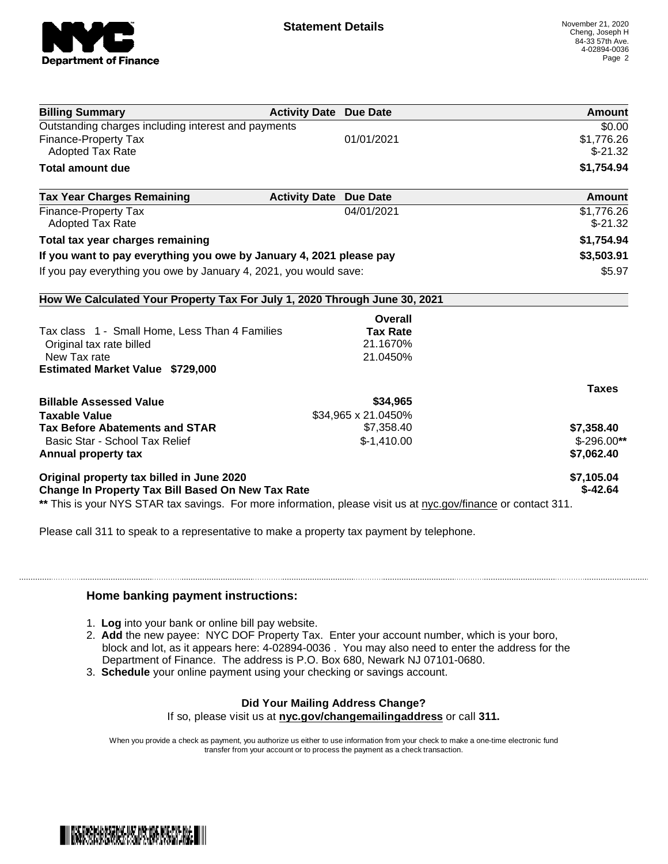

| <b>Billing Summary</b>                                                     | <b>Activity Date Due Date</b>           | <b>Amount</b> |
|----------------------------------------------------------------------------|-----------------------------------------|---------------|
| Outstanding charges including interest and payments                        |                                         | \$0.00        |
| Finance-Property Tax                                                       | 01/01/2021                              | \$1,776.26    |
| <b>Adopted Tax Rate</b>                                                    |                                         | $$-21.32$     |
| <b>Total amount due</b>                                                    |                                         | \$1,754.94    |
| <b>Tax Year Charges Remaining</b>                                          | <b>Activity Date</b><br><b>Due Date</b> | <b>Amount</b> |
| <b>Finance-Property Tax</b>                                                | 04/01/2021                              | \$1,776.26    |
| <b>Adopted Tax Rate</b>                                                    |                                         | $$-21.32$     |
| Total tax year charges remaining                                           |                                         | \$1,754.94    |
| If you want to pay everything you owe by January 4, 2021 please pay        |                                         | \$3,503.91    |
| If you pay everything you owe by January 4, 2021, you would save:          |                                         | \$5.97        |
| How We Calculated Your Property Tax For July 1, 2020 Through June 30, 2021 |                                         |               |
|                                                                            | Overall                                 |               |
| Tax class 1 - Small Home, Less Than 4 Families                             | <b>Tax Rate</b>                         |               |
| Original tax rate billed                                                   | 21.1670%                                |               |
| New Tax rate                                                               | 21.0450%                                |               |
| <b>Estimated Market Value \$729,000</b>                                    |                                         |               |
|                                                                            |                                         | <b>Taxes</b>  |
| <b>Billable Assessed Value</b>                                             | \$34,965                                |               |
| <b>Taxable Value</b>                                                       | \$34,965 x 21.0450%                     |               |
| <b>Tax Before Abatements and STAR</b>                                      | \$7,358.40                              | \$7,358.40    |
| Basic Star - School Tax Relief                                             | $$-1,410.00$                            | $$-296.00**$  |
| Annual property tax                                                        |                                         | \$7,062.40    |
| Original property tax billed in June 2020                                  |                                         | \$7,105.04    |
| Change In Property Tax Bill Based On New Tax Rate                          |                                         | $$-42.64$     |

Please call 311 to speak to a representative to make a property tax payment by telephone.

## **Home banking payment instructions:**

- 1. **Log** into your bank or online bill pay website.
- 2. **Add** the new payee: NYC DOF Property Tax. Enter your account number, which is your boro, block and lot, as it appears here: 4-02894-0036 . You may also need to enter the address for the Department of Finance. The address is P.O. Box 680, Newark NJ 07101-0680.
- 3. **Schedule** your online payment using your checking or savings account.

## **Did Your Mailing Address Change?**

If so, please visit us at **nyc.gov/changemailingaddress** or call **311.**

When you provide a check as payment, you authorize us either to use information from your check to make a one-time electronic fund transfer from your account or to process the payment as a check transaction.